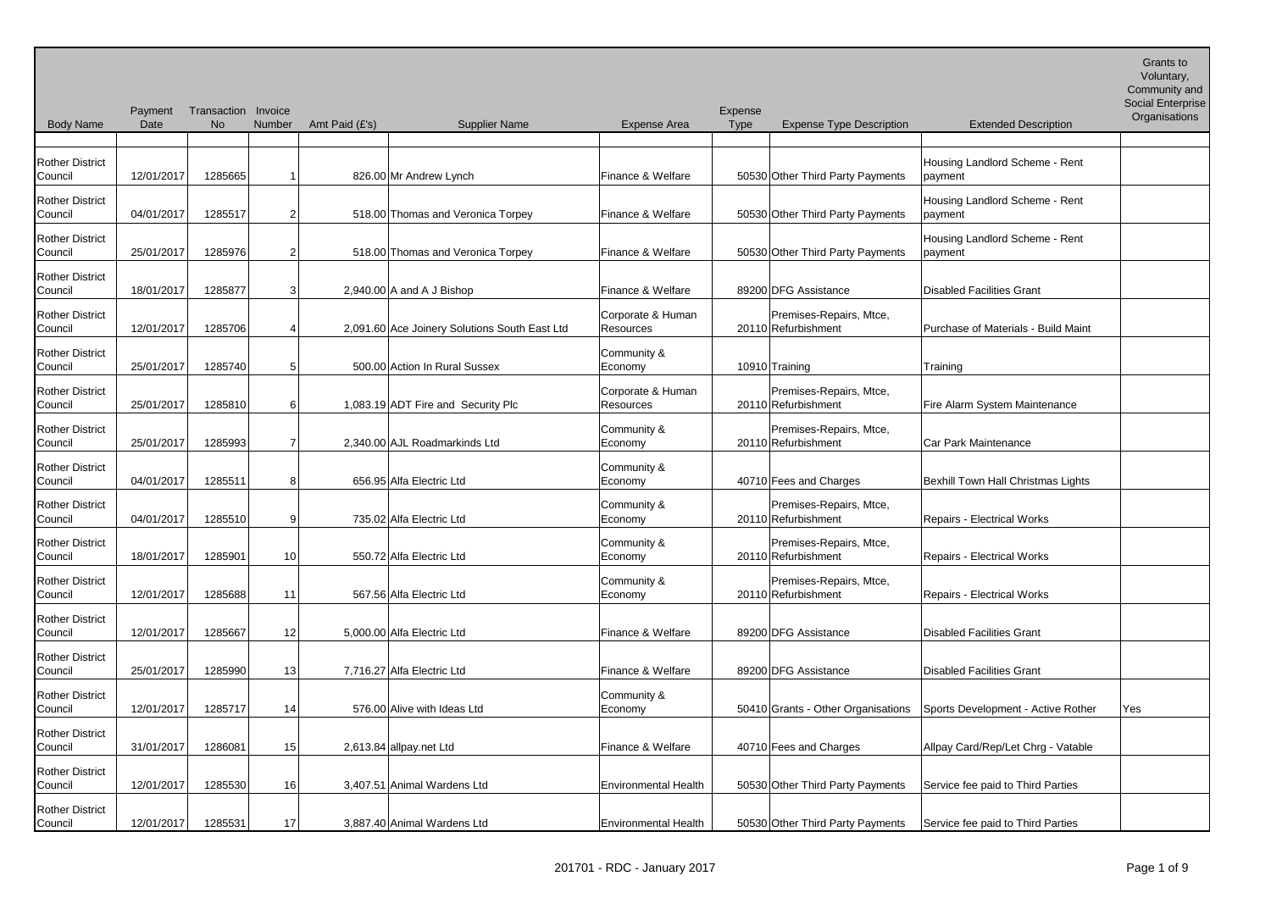| <b>Body Name</b>                  | Payment<br>Date | Transaction Invoice<br><b>No</b> | Number | Amt Paid (£'s) | <b>Supplier Name</b>                          | <b>Expense Area</b>            | Expense<br><b>Type</b> | <b>Expense Type Description</b>                | <b>Extended Description</b>                | Social Enterprise<br>Organisations |
|-----------------------------------|-----------------|----------------------------------|--------|----------------|-----------------------------------------------|--------------------------------|------------------------|------------------------------------------------|--------------------------------------------|------------------------------------|
|                                   |                 |                                  |        |                |                                               |                                |                        |                                                |                                            |                                    |
| <b>Rother District</b><br>Council | 12/01/2017      | 1285665                          |        |                | 826.00 Mr Andrew Lynch                        | Finance & Welfare              |                        | 50530 Other Third Party Payments               | Housing Landlord Scheme - Rent<br>payment  |                                    |
| <b>Rother District</b><br>Council | 04/01/2017      | 1285517                          |        |                | 518.00 Thomas and Veronica Torpey             | Finance & Welfare              |                        | 50530 Other Third Party Payments               | Housing Landlord Scheme - Rent<br> payment |                                    |
| <b>Rother District</b><br>Council | 25/01/2017      | 1285976                          |        |                | 518.00 Thomas and Veronica Torpey             | Finance & Welfare              |                        | 50530 Other Third Party Payments               | Housing Landlord Scheme - Rent<br>payment  |                                    |
| <b>Rother District</b><br>Council | 18/01/2017      | 1285877                          | 3      |                | 2,940.00 A and A J Bishop                     | Finance & Welfare              |                        | 89200 DFG Assistance                           | Disabled Facilities Grant                  |                                    |
| <b>Rother District</b><br>Council | 12/01/2017      | 1285706                          |        |                | 2,091.60 Ace Joinery Solutions South East Ltd | Corporate & Human<br>Resources |                        | Premises-Repairs, Mtce,<br>20110 Refurbishment | Purchase of Materials - Build Maint        |                                    |
| <b>Rother District</b><br>Council | 25/01/2017      | 1285740                          |        |                | 500.00 Action In Rural Sussex                 | Community &<br>Economy         |                        | 10910 Training                                 | Training                                   |                                    |
| <b>Rother District</b><br>Council | 25/01/2017      | 1285810                          | 61     |                | 1,083.19 ADT Fire and Security Plc            | Corporate & Human<br>Resources |                        | Premises-Repairs, Mtce,<br>20110 Refurbishment | Fire Alarm System Maintenance              |                                    |
| <b>Rother District</b><br>Council | 25/01/2017      | 1285993                          |        |                | 2,340.00 AJL Roadmarkinds Ltd                 | Community &<br>Economy         |                        | Premises-Repairs, Mtce,<br>20110 Refurbishment | Car Park Maintenance                       |                                    |
| <b>Rother District</b><br>Council | 04/01/2017      | 1285511                          | 8      |                | 656.95 Alfa Electric Ltd                      | Community &<br>Economy         |                        | 40710 Fees and Charges                         | Bexhill Town Hall Christmas Lights         |                                    |
| <b>Rother District</b><br>Council | 04/01/2017      | 1285510                          | 9      |                | 735.02 Alfa Electric Ltd                      | Community &<br>Economy         |                        | Premises-Repairs, Mtce,<br>20110 Refurbishment | <b>Repairs - Electrical Works</b>          |                                    |
| <b>Rother District</b><br>Council | 18/01/2017      | 1285901                          | 10     |                | 550.72 Alfa Electric Ltd                      | Community &<br>Economy         |                        | Premises-Repairs, Mtce,<br>20110 Refurbishment | Repairs - Electrical Works                 |                                    |
| <b>Rother District</b><br>Council | 12/01/2017      | 1285688                          | 11     |                | 567.56 Alfa Electric Ltd                      | Community &<br>Economy         |                        | Premises-Repairs, Mtce,<br>20110 Refurbishment | <b>Repairs - Electrical Works</b>          |                                    |
| <b>Rother District</b><br>Council | 12/01/2017      | 1285667                          | 12     |                | 5,000.00 Alfa Electric Ltd                    | Finance & Welfare              |                        | 89200 DFG Assistance                           | Disabled Facilities Grant                  |                                    |
| <b>Rother District</b><br>Council | 25/01/2017      | 1285990                          | 13     |                | 7,716.27 Alfa Electric Ltd                    | Finance & Welfare              |                        | 89200 DFG Assistance                           | Disabled Facilities Grant                  |                                    |
| <b>Rother District</b><br>Council | 12/01/2017      | 1285717                          | 14     |                | 576.00 Alive with Ideas Ltd                   | Community &<br>Economy         |                        | 50410 Grants - Other Organisations             | Sports Development - Active Rother         | Yes                                |
| <b>Rother District</b><br>Council | 31/01/2017      | 1286081                          | 15     |                | 2,613.84 allpay.net Ltd                       | Finance & Welfare              |                        | 40710 Fees and Charges                         | Allpay Card/Rep/Let Chrg - Vatable         |                                    |
| <b>Rother District</b><br>Council | 12/01/2017      | 1285530                          | 16     |                | 3,407.51 Animal Wardens Ltd                   | <b>Environmental Health</b>    |                        | 50530 Other Third Party Payments               | Service fee paid to Third Parties          |                                    |
| <b>Rother District</b><br>Council | 12/01/2017      | 1285531                          | 17     |                | 3,887.40 Animal Wardens Ltd                   | Environmental Health           |                        | 50530 Other Third Party Payments               | Service fee paid to Third Parties          |                                    |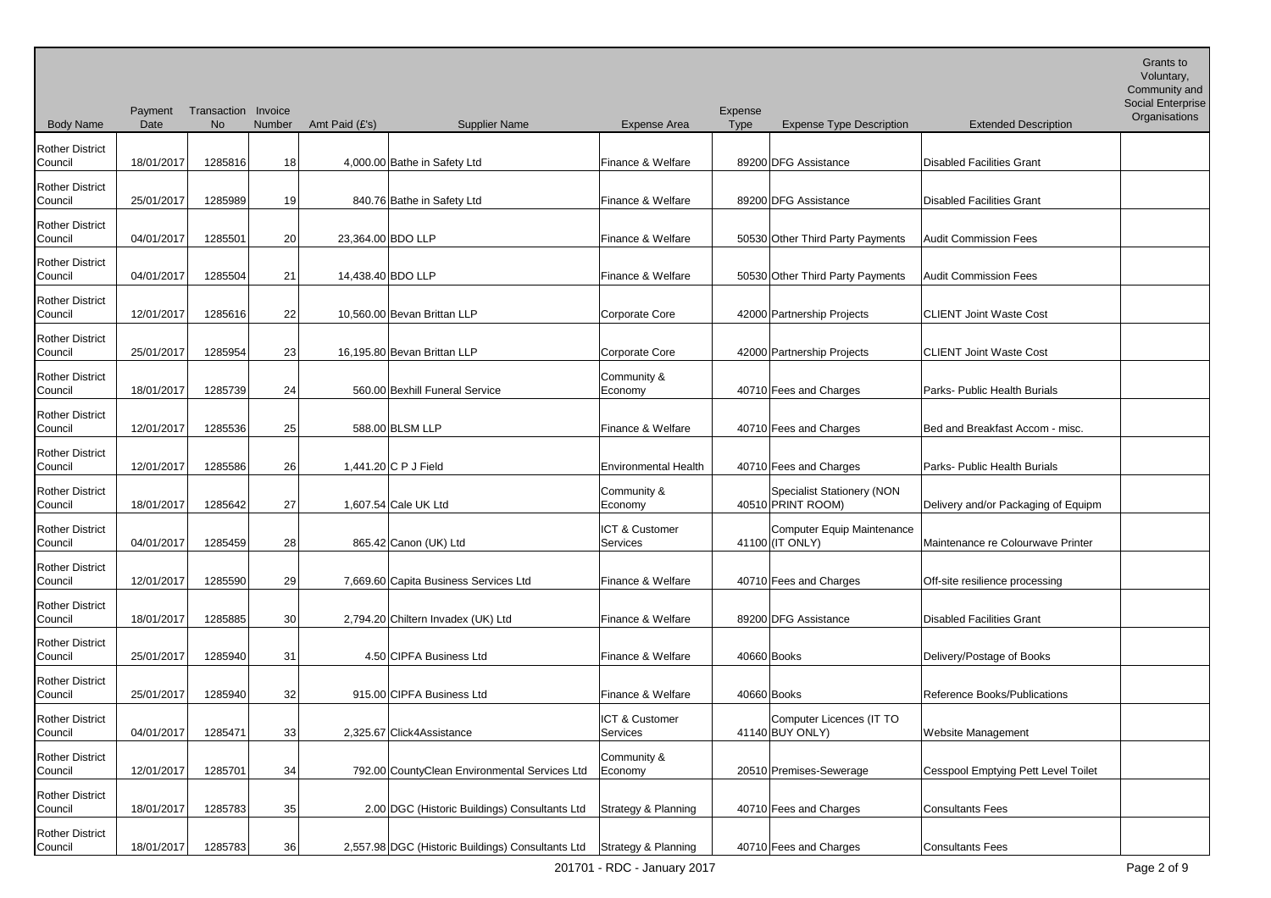| <b>Body Name</b>                  | Payment<br>Date | Transaction Invoice<br>No | Number          | Amt Paid (£'s)    | <b>Supplier Name</b>                                                  | <b>Expense Area</b>         | Expense<br><b>Type</b> | <b>Expense Type Description</b>                 | <b>Extended Description</b>         | Community and<br><b>Social Enterprise</b><br>Organisations |
|-----------------------------------|-----------------|---------------------------|-----------------|-------------------|-----------------------------------------------------------------------|-----------------------------|------------------------|-------------------------------------------------|-------------------------------------|------------------------------------------------------------|
| <b>Rother District</b><br>Council | 18/01/2017      | 1285816                   | 18              |                   | 4,000.00 Bathe in Safety Ltd                                          | Finance & Welfare           |                        | 89200 DFG Assistance                            | Disabled Facilities Grant           |                                                            |
| <b>Rother District</b><br>Council | 25/01/2017      | 1285989                   | 19              |                   | 840.76 Bathe in Safety Ltd                                            | Finance & Welfare           |                        | 89200 DFG Assistance                            | Disabled Facilities Grant           |                                                            |
| <b>Rother District</b><br>Council | 04/01/2017      | 1285501                   | 20              | 23,364.00 BDO LLP |                                                                       | Finance & Welfare           |                        | 50530 Other Third Party Payments                | <b>Audit Commission Fees</b>        |                                                            |
| <b>Rother District</b><br>Council | 04/01/2017      | 1285504                   | 21              | 14,438.40 BDO LLP |                                                                       | Finance & Welfare           |                        | 50530 Other Third Party Payments                | <b>Audit Commission Fees</b>        |                                                            |
| <b>Rother District</b><br>Council | 12/01/2017      | 1285616                   | 22              |                   | 10,560.00 Bevan Brittan LLP                                           | Corporate Core              |                        | 42000 Partnership Projects                      | <b>CLIENT Joint Waste Cost</b>      |                                                            |
| <b>Rother District</b><br>Council | 25/01/2017      | 1285954                   | 23              |                   | 16,195.80 Bevan Brittan LLP                                           | <b>Corporate Core</b>       |                        | 42000 Partnership Projects                      | <b>CLIENT Joint Waste Cost</b>      |                                                            |
| <b>Rother District</b><br>Council | 18/01/2017      | 1285739                   | 24              |                   | 560.00 Bexhill Funeral Service                                        | Community &<br>Economy      |                        | 40710 Fees and Charges                          | Parks- Public Health Burials        |                                                            |
| <b>Rother District</b><br>Council | 12/01/2017      | 1285536                   | 25              |                   | 588.00 BLSM LLP                                                       | Finance & Welfare           |                        | 40710 Fees and Charges                          | Bed and Breakfast Accom - misc.     |                                                            |
| <b>Rother District</b><br>Council | 12/01/2017      | 1285586                   | 26              |                   | 1,441.20 C P J Field                                                  | <b>Environmental Health</b> |                        | 40710 Fees and Charges                          | Parks- Public Health Burials        |                                                            |
| <b>Rother District</b><br>Council | 18/01/2017      | 1285642                   | 27              |                   | 1,607.54 Cale UK Ltd                                                  | Community &<br>Economy      |                        | Specialist Stationery (NON<br>40510 PRINT ROOM) | Delivery and/or Packaging of Equipm |                                                            |
| <b>Rother District</b><br>Council | 04/01/2017      | 1285459                   | 28              |                   | 865.42 Canon (UK) Ltd                                                 | ICT & Customer<br>Services  |                        | Computer Equip Maintenance<br>41100 (IT ONLY)   | Maintenance re Colourwave Printer   |                                                            |
| <b>Rother District</b><br>Council | 12/01/2017      | 1285590                   | 29              |                   | 7,669.60 Capita Business Services Ltd                                 | Finance & Welfare           |                        | 40710 Fees and Charges                          | Off-site resilience processing      |                                                            |
| <b>Rother District</b><br>Council | 18/01/2017      | 1285885                   | 30 <sub>1</sub> |                   | 2,794.20 Chiltern Invadex (UK) Ltd                                    | Finance & Welfare           |                        | 89200 DFG Assistance                            | Disabled Facilities Grant           |                                                            |
| <b>Rother District</b><br>Council | 25/01/2017      | 1285940                   | 31              |                   | 4.50 CIPFA Business Ltd                                               | Finance & Welfare           |                        | 40660 Books                                     | Delivery/Postage of Books           |                                                            |
| <b>Rother District</b><br>Council | 25/01/2017      | 1285940                   | 32              |                   | 915.00 CIPFA Business Ltd                                             | Finance & Welfare           |                        | 40660 Books                                     | Reference Books/Publications        |                                                            |
| <b>Rother District</b><br>Council | 04/01/2017      | 1285471                   | 33              |                   | 2,325.67 Click4Assistance                                             | ICT & Customer<br>Services  |                        | Computer Licences (IT TO<br>41140 BUY ONLY)     | Website Management                  |                                                            |
| <b>Rother District</b><br>Council | 12/01/2017      | 1285701                   | 34              |                   | 792.00 CountyClean Environmental Services Ltd                         | Community &<br>Economy      |                        | 20510 Premises-Sewerage                         | Cesspool Emptying Pett Level Toilet |                                                            |
| <b>Rother District</b><br>Council | 18/01/2017      | 1285783                   | 35              |                   | 2.00 DGC (Historic Buildings) Consultants Ltd                         | Strategy & Planning         |                        | 40710 Fees and Charges                          | Consultants Fees                    |                                                            |
| <b>Rother District</b><br>Council | 18/01/2017      | 1285783                   | 36              |                   | 2,557.98 DGC (Historic Buildings) Consultants Ltd Strategy & Planning |                             |                        | 40710 Fees and Charges                          | Consultants Fees                    |                                                            |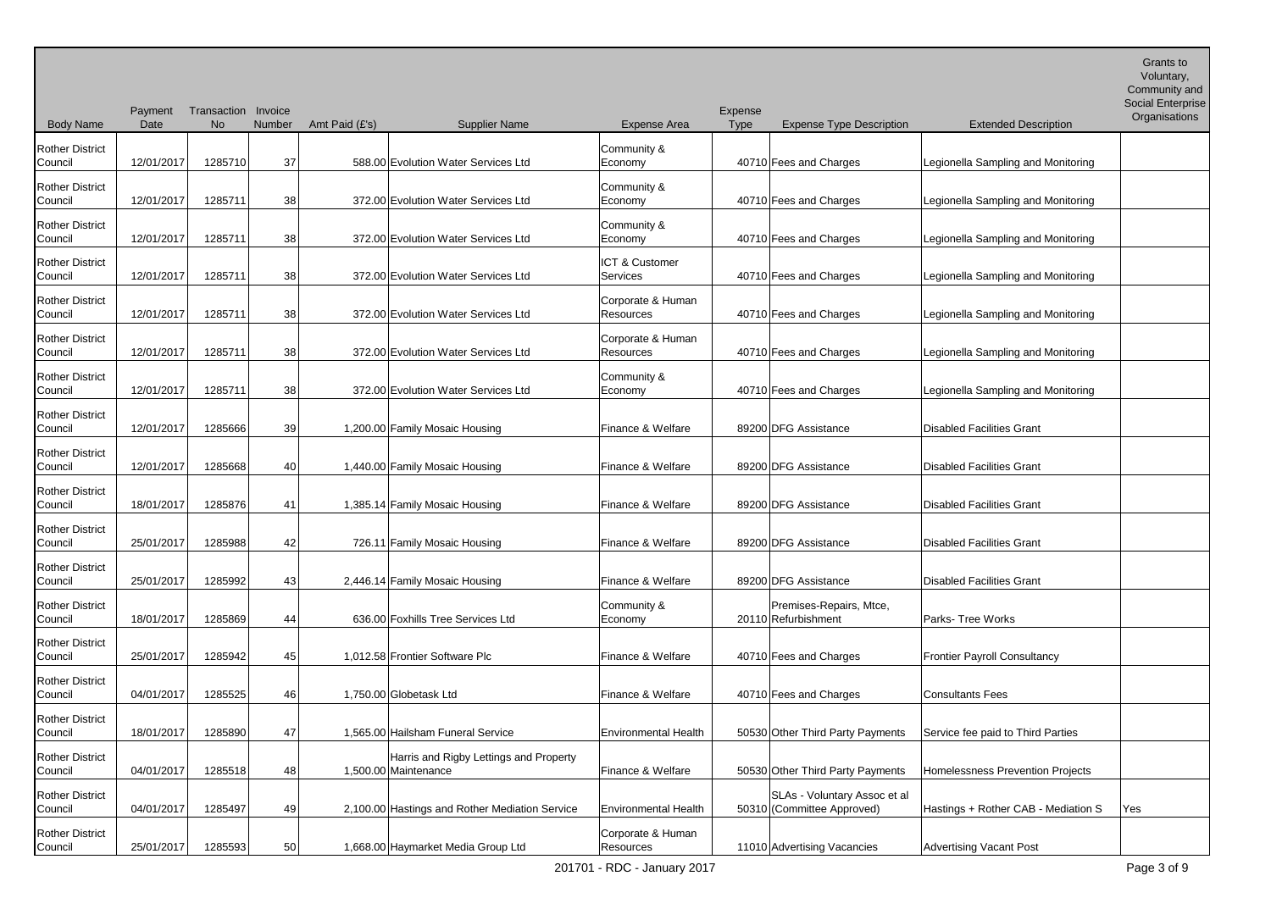Body Name Payment Transaction Invoice Date No Number Amt Paid (£'s) Supplier Name Expense Area Expense Type Expense Type Description Extended Description Voluntary, Community and Social Enterprise **Organisations** Rother District Council 12/01/2017 1285710 37 588.00 Evolution Water Services Ltd Community & Economy 1992 40710 Fees and Charges Legionella Sampling and Monitoring Rother District Council 12/01/2017 1285711 38 372.00 Evolution Water Services Ltd Community & Economy 1992 40710 Fees and Charges Legionella Sampling and Monitoring Rother District Council 12/01/2017 1285711 38 372.00 Evolution Water Services Ltd Community & Economy 1990 10710 Fees and Charges Legionella Sampling and Monitoring Rother District Council 12/01/2017 1285711 38 372.00 Evolution Water Services Ltd ICT & Customer Services 1992 | 40710 Fees and Charges | Legionella Sampling and Monitoring Rother District Council 12/01/2017 1285711 38 372.00 Evolution Water Services Ltd Corporate & Human Resources 1986 Harpert 40710 Fees and Charges Legionella Sampling and Monitoring Rother District Council 12/01/2017 1285711 38 372.00 Evolution Water Services Ltd Corporate & Human Resources 40710 Fees and Charges Legionella Sampling and Monitoring Rother District Council 12/01/2017 1285711 38 372.00 Evolution Water Services Ltd Community & Economy 1992 40710 Fees and Charges Legionella Sampling and Monitoring Rother District Council 12/01/2017 1285666 39 1,200.00 Family Mosaic Housing Finance & Welfare 89200 DFG Assistance Disabled Facilities Grant Rother District Council 12/01/2017 1285668 40 1,440.00 Family Mosaic Housing Finance & Welfare 89200 DFG Assistance Disabled Facilities Grant Rother District Council 18/01/2017 1285876 41 1,385.14 Family Mosaic Housing Finance & Welfare 89200 DFG Assistance Disabled Facilities Grant Rother District Council 25/01/2017 1285988 42 726.11 Family Mosaic Housing Finance & Welfare 89200 DFG Assistance Disabled Facilities Grant Rother District Council 25/01/2017 1285992 43 2,446.14 Family Mosaic Housing Finance & Welfare 89200 DFG Assistance Disabled Facilities Grant Rother District Council 18/01/2017 1285869 44 636.00 Foxhills Tree Services Ltd Community & Economy 20110 Refurbishment Premises-Repairs, Mtce, Parks- Tree Works Rother District Council 25/01/2017 1285942 45 1,012.58 Frontier Software Plc Finance & Welfare 40710 Fees and Charges Frontier Payroll Consultancy Rother District Council 1285525 46 1,750.00 Globetask Ltd Finance & Welfare 40710 Fees and Charges Consultants Fees Rother District Council 18/01/2017 1285890 47 1,565.00 Hailsham Funeral Service Environmental Health 50530 Other Third Party Payments Service fee paid to Third Parties Rother District Council | 04/01/2017 | 1285518 | 48 1,500.00 Maintenance Harris and Rigby Lettings and Property Finance & Welfare | 50530 Other Third Party Payments | Homelessness Prevention Projects Rother District Council | 04/01/2017 1285497 49 2,100.00 Hastings and Rother Mediation Service Environmental Health 50310 (Committee Approved) SLAs - Voluntary Assoc et al Hastings + Rother CAB - Mediation S  $\vert$  Yes Rother District Council 25/01/2017 1285593 50 1,668.00 Haymarket Media Group Ltd Corporate & Human Resources 11010 Advertising Vacancies Advertising Vacant Post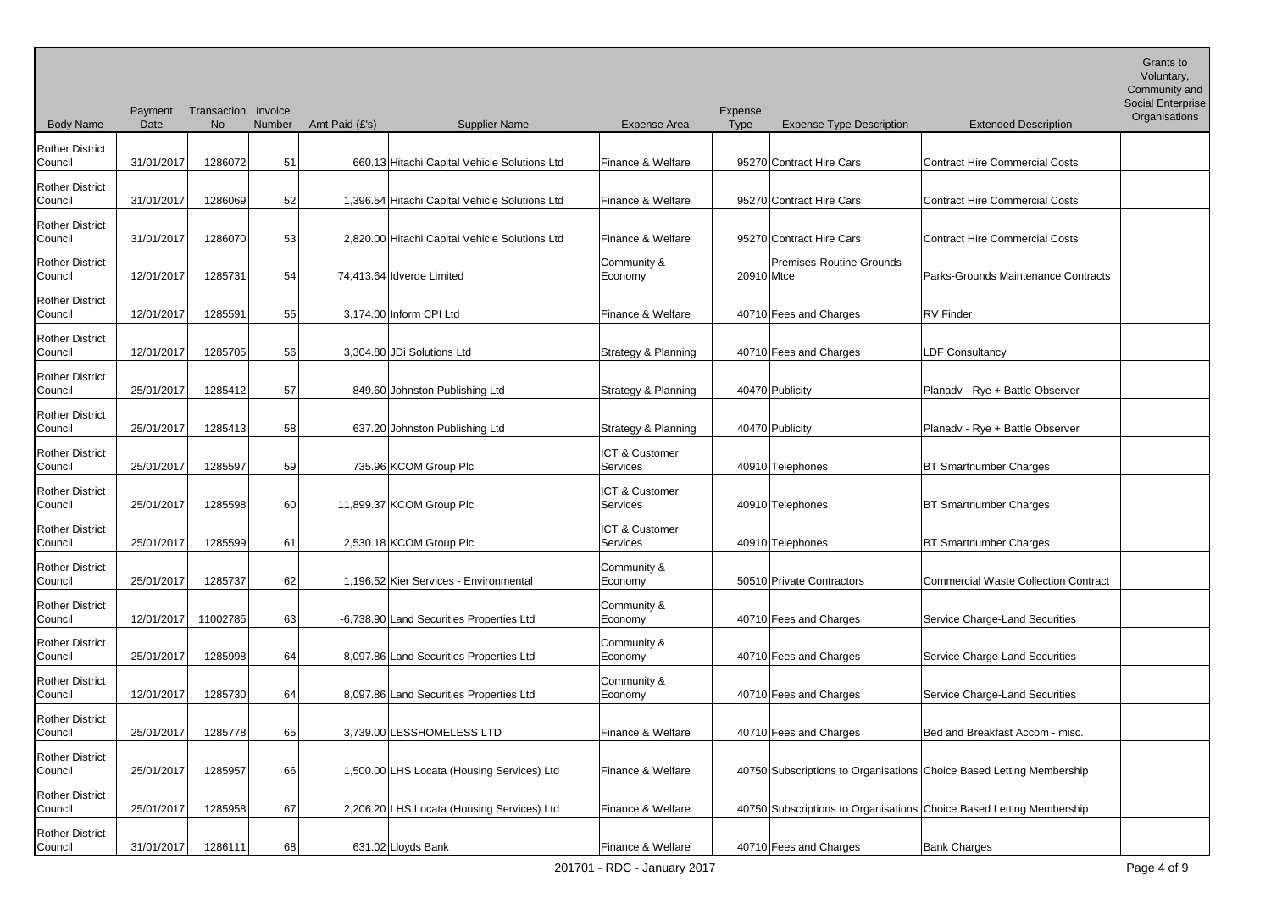| <b>Body Name</b>                  | Payment<br>Date | Transaction Invoice<br>No | Number | Amt Paid (£'s) | <b>Supplier Name</b>                           | <b>Expense Area</b>        | Expense<br><b>Type</b> | <b>Expense Type Description</b> | <b>Extended Description</b>                                          | <b>Community</b> and<br>Social Enterprise<br>Organisations |
|-----------------------------------|-----------------|---------------------------|--------|----------------|------------------------------------------------|----------------------------|------------------------|---------------------------------|----------------------------------------------------------------------|------------------------------------------------------------|
| <b>Rother District</b>            |                 |                           |        |                |                                                |                            |                        |                                 |                                                                      |                                                            |
| Council                           | 31/01/2017      | 1286072                   | 51     |                | 660.13 Hitachi Capital Vehicle Solutions Ltd   | Finance & Welfare          |                        | 95270 Contract Hire Cars        | <b>Contract Hire Commercial Costs</b>                                |                                                            |
| <b>Rother District</b><br>Council | 31/01/2017      | 1286069                   | 52     |                | 1,396.54 Hitachi Capital Vehicle Solutions Ltd | Finance & Welfare          |                        | 95270 Contract Hire Cars        | Contract Hire Commercial Costs                                       |                                                            |
| <b>Rother District</b><br>Council | 31/01/2017      | 1286070                   | 53     |                | 2,820.00 Hitachi Capital Vehicle Solutions Ltd | Finance & Welfare          |                        | 95270 Contract Hire Cars        | <b>Contract Hire Commercial Costs</b>                                |                                                            |
| <b>Rother District</b><br>Council | 12/01/2017      | 1285731                   | 54     |                | 74,413.64 Idverde Limited                      | Community &<br>Economy     | 20910 Mtce             | <b>Premises-Routine Grounds</b> | Parks-Grounds Maintenance Contracts                                  |                                                            |
| <b>Rother District</b><br>Council | 12/01/2017      | 1285591                   | 55     |                | 3,174.00 Inform CPI Ltd                        | Finance & Welfare          |                        | 40710 Fees and Charges          | RV Finder                                                            |                                                            |
| <b>Rother District</b><br>Council | 12/01/2017      | 1285705                   | 56     |                | 3,304.80 JDi Solutions Ltd                     | Strategy & Planning        |                        | 40710 Fees and Charges          | <b>LDF Consultancy</b>                                               |                                                            |
| <b>Rother District</b><br>Council | 25/01/2017      | 1285412                   | 57     |                | 849.60 Johnston Publishing Ltd                 | Strategy & Planning        |                        | 40470 Publicity                 | Planadv - Rye + Battle Observer                                      |                                                            |
| <b>Rother District</b><br>Council | 25/01/2017      | 1285413                   | 58     |                | 637.20 Johnston Publishing Ltd                 | Strategy & Planning        |                        | 40470 Publicity                 | Planadv - Rye + Battle Observer                                      |                                                            |
| <b>Rother District</b><br>Council | 25/01/2017      | 1285597                   | 59     |                | 735.96 KCOM Group Plc                          | ICT & Customer<br>Services |                        | 40910 Telephones                | <b>BT Smartnumber Charges</b>                                        |                                                            |
| <b>Rother District</b><br>Council | 25/01/2017      | 1285598                   | 60     |                | 11,899.37 KCOM Group Plc                       | ICT & Customer<br>Services |                        | 40910 Telephones                | <b>BT Smartnumber Charges</b>                                        |                                                            |
| <b>Rother District</b><br>Council | 25/01/2017      | 1285599                   | 61     |                | 2,530.18 KCOM Group Plc                        | ICT & Customer<br>Services |                        | 40910 Telephones                | <b>BT Smartnumber Charges</b>                                        |                                                            |
| <b>Rother District</b><br>Council | 25/01/2017      | 1285737                   | 62     |                | 1,196.52 Kier Services - Environmental         | Community &<br>Economy     |                        | 50510 Private Contractors       | Commercial Waste Collection Contract                                 |                                                            |
| <b>Rother District</b><br>Council | 12/01/2017      | 11002785                  | 63     |                | -6,738.90 Land Securities Properties Ltd       | Community &<br>Economy     |                        | 40710 Fees and Charges          | Service Charge-Land Securities                                       |                                                            |
| <b>Rother District</b><br>Council | 25/01/2017      | 1285998                   | 64     |                | 8,097.86 Land Securities Properties Ltd        | Community &<br>Economy     |                        | 40710 Fees and Charges          | Service Charge-Land Securities                                       |                                                            |
| <b>Rother District</b><br>Council | 12/01/2017      | 1285730                   | 64     |                | 8,097.86 Land Securities Properties Ltd        | Community &<br>Economy     |                        | 40710 Fees and Charges          | Service Charge-Land Securities                                       |                                                            |
| <b>Rother District</b><br>Council | 25/01/2017      | 1285778                   | 65     |                | 3,739.00 LESSHOMELESS LTD                      | Finance & Welfare          |                        | 40710 Fees and Charges          | Bed and Breakfast Accom - misc.                                      |                                                            |
| <b>Rother District</b><br>Council | 25/01/2017      | 1285957                   | 66     |                | 1,500.00 LHS Locata (Housing Services) Ltd     | Finance & Welfare          |                        |                                 | 40750 Subscriptions to Organisations Choice Based Letting Membership |                                                            |
| <b>Rother District</b><br>Council | 25/01/2017      | 1285958                   | 67     |                | 2,206.20 LHS Locata (Housing Services) Ltd     | Finance & Welfare          |                        |                                 | 40750 Subscriptions to Organisations Choice Based Letting Membership |                                                            |
| <b>Rother District</b><br>Council | 31/01/2017      | 1286111                   | 68     |                | 631.02 Lloyds Bank                             | Finance & Welfare          |                        | 40710 Fees and Charges          | <b>Bank Charges</b>                                                  |                                                            |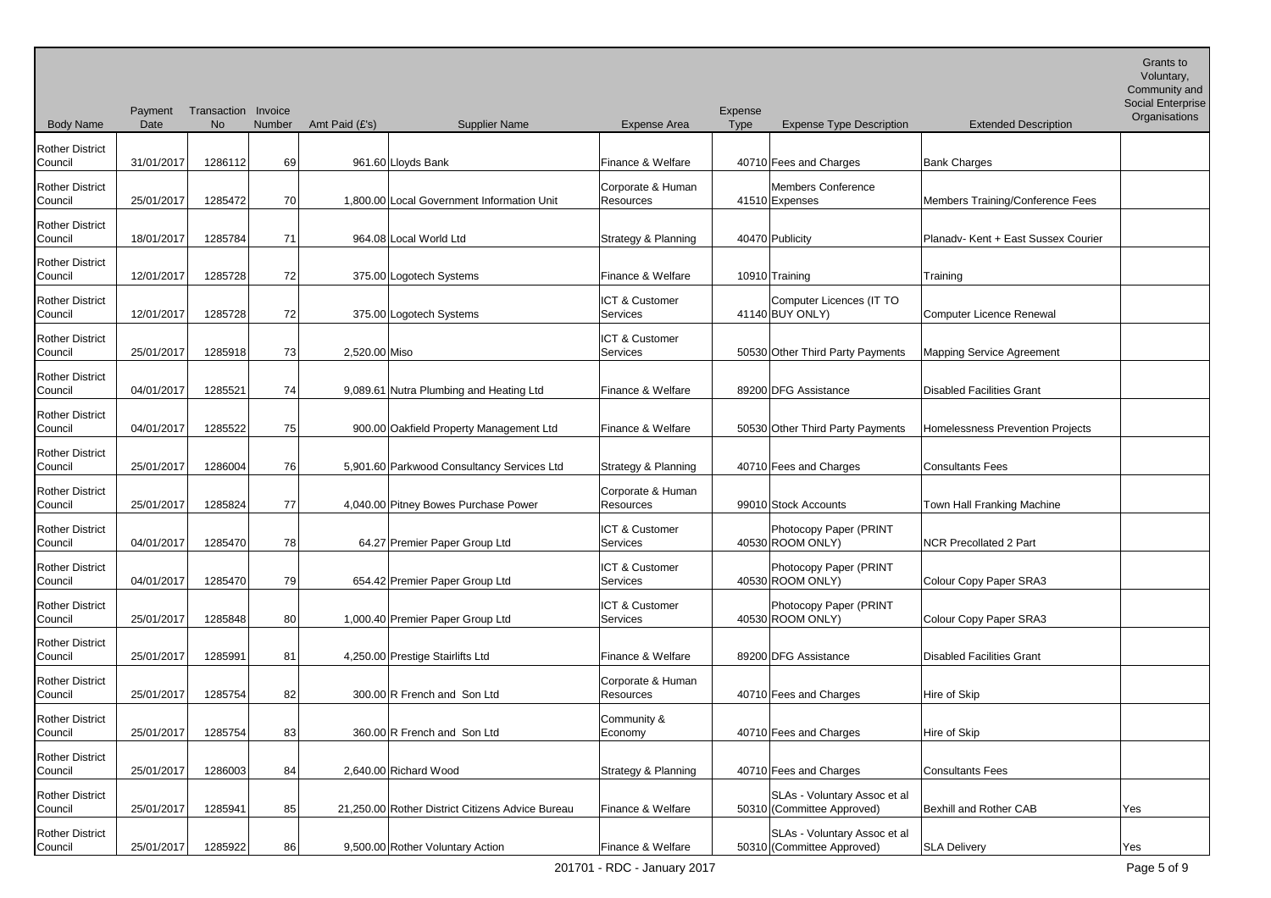Body Name Payment Transaction Invoice Date No Number Amt Paid (£'s) Supplier Name Expense Area Expense Type Expense Type Description Extended Description Voluntary, Community and Social Enterprise **Organisations** Rother District Council | 31/01/2017 1286112 69 961.60 Lloyds Bank Finance & Welfare 40710 Fees and Charges Bank Charges Bank Charges Rother District Council 25/01/2017 1285472 70 1,800.00 Local Government Information Unit Corporate & Human Resources | 41510 Expenses Members Conference Members Training/Conference Fees Rother District Council 18/01/2017 1285784 71 964.08 Local World Ltd Strategy & Planning 40470 Publicity Planadv- Kent + East Sussex Courier Rother District Council | 12/01/2017 1285728 72 375.00 Logotech Systems Finance & Welfare 10910 Training Training Training Rother District Council 12/01/2017 1285728 72 375.00 Logotech Systems ICT & Customer Services 141140 BUY ONLY) Computer Licences (IT TO **Computer Licence Renewal** Rother District Council 25/01/2017 1285918 73 2,520.00 Miso ICT & Customer Services 50530 Other Third Party Payments Mapping Service Agreement Rother District Council | 04/01/2017 1285521 74 9,089.61 Nutra Plumbing and Heating Ltd Finance & Welfare | 89200 DFG Assistance | Disabled Facilities Grant Rother District Council 04/01/2017 1285522 75 900.00 Oakfield Property Management Ltd Finance & Welfare 50530 Other Third Party Payments Homelessness Prevention Projects Rother District Council 25/01/2017 1286004 76 5,901.60 Parkwood Consultancy Services Ltd Strategy & Planning 40710 Fees and Charges Consultants Fees Rother District Council 25/01/2017 1285824 77 4,040.00 Pitney Bowes Purchase Power Corporate & Human Resources 199010 Stock Accounts Town Hall Franking Machine Rother District Council 04/01/2017 1285470 78 64.27 Premier Paper Group Ltd ICT & Customer Services 40530 Photocopy Paper (PRINT **NCR Precollated 2 Part** Rother District Council 04/01/2017 1285470 79 654.42 Premier Paper Group Ltd ICT & Customer Services | 40530 ROOM ONLY) Photocopy Paper (PRINT Colour Copy Paper SRA3 Rother District Council 25/01/2017 1285848 80 1,000.40 Premier Paper Group Ltd ICT & Customer Services | 40530 ROOM ONLY) Photocopy Paper (PRINT Colour Copy Paper SRA3 Rother District Council 25/01/2017 1285991 81 4,250.00 Prestige Stairlifts Ltd Finance & Welfare 89200 DFG Assistance Disabled Facilities Grant Rother District Council 25/01/2017 1285754 82 300.00 R French and Son Ltd Corporate & Human Resources 140710 Fees and Charges Hire of Skip Rother District Council 25/01/2017 1285754 83 360.00 R French and Son Ltd Community & Economy 10710 Fees and Charges Hire of Skip Rother District Council 25/01/2017 1286003 84 2,640.00 Richard Wood Strategy & Planning 40710 Fees and Charges Consultants Fees Rother District Council 25/01/2017 1285941 85 21,250.00 Rother District Citizens Advice Bureau Finance & Welfare SLAs - Voluntary Assoc et al 50310 (Committee Approved) Bexhill and Rother CAB | Yes Rother District Council 25/01/2017 1285922 86 9,500.00 Rother Voluntary Action Finance & Welfare SLAs - Voluntary Assoc et al 50310 (Committee Approved) SLA Delivery SQUA SCHA NYES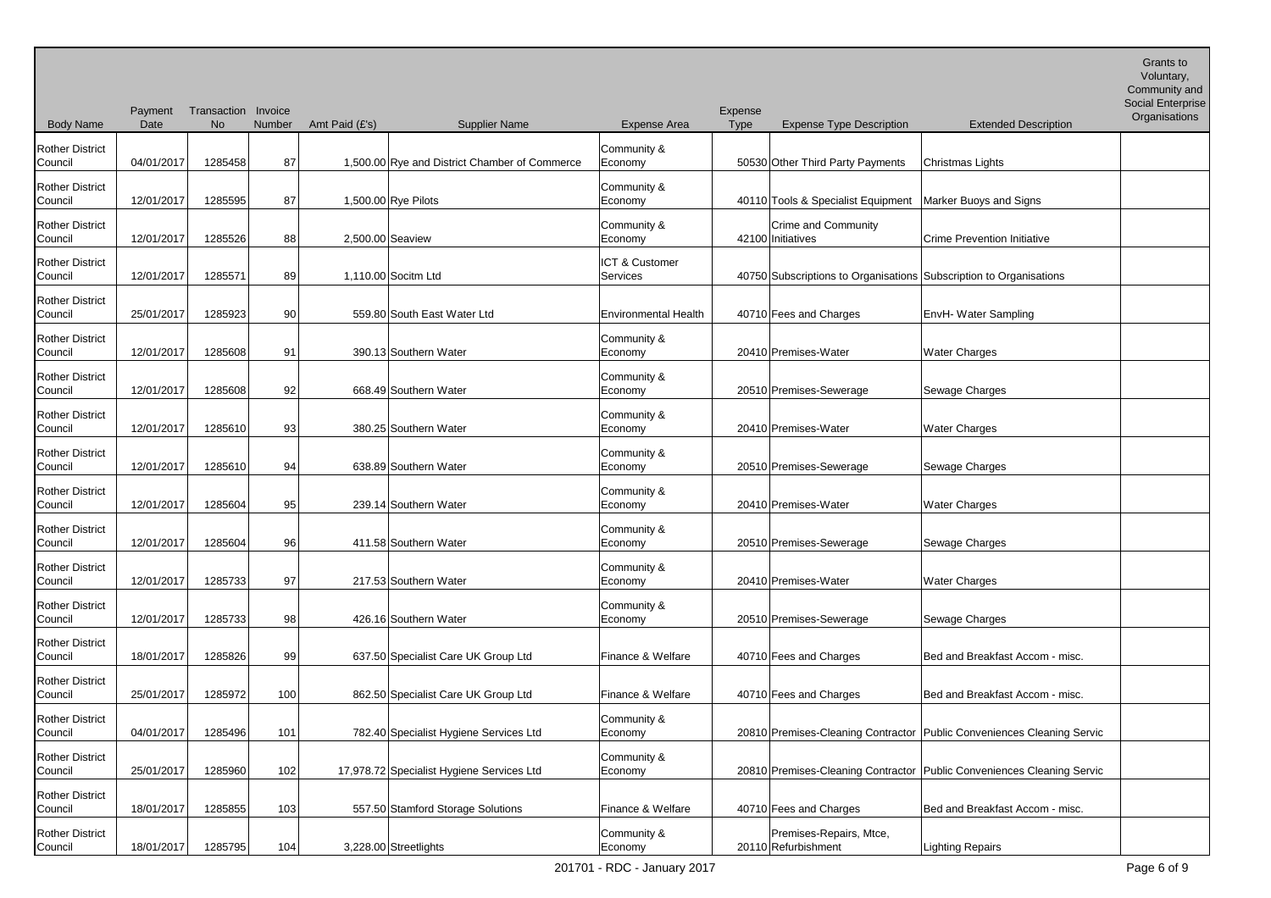Voluntary,

| Community and     |
|-------------------|
| Social Enternrise |

| <b>Body Name</b>                  | Payment<br>Date | Transaction Invoice<br>No | Number | Amt Paid (£'s)<br><b>Supplier Name</b>        | <b>Expense Area</b>         | Expense<br><b>Type</b> | <b>Expense Type Description</b>                                    | <b>Social Enterprise</b><br>Organisations<br><b>Extended Description</b> |
|-----------------------------------|-----------------|---------------------------|--------|-----------------------------------------------|-----------------------------|------------------------|--------------------------------------------------------------------|--------------------------------------------------------------------------|
| <b>Rother District</b><br>Council | 04/01/2017      | 1285458                   | 87     | 1,500.00 Rye and District Chamber of Commerce | Community &<br>Economy      |                        | 50530 Other Third Party Payments                                   | Christmas Lights                                                         |
| <b>Rother District</b><br>Council | 12/01/2017      | 1285595                   | 87     | 1,500.00 Rye Pilots                           | Community &<br>Economy      |                        | 40110 Tools & Specialist Equipment                                 | Marker Buoys and Signs                                                   |
| <b>Rother District</b><br>Council | 12/01/2017      | 1285526                   | 88     | 2,500.00 Seaview                              | Community &<br>Economy      |                        | Crime and Community<br>42100 Initiatives                           | <b>Crime Prevention Initiative</b>                                       |
| <b>Rother District</b><br>Council | 12/01/2017      | 1285571                   | 89     | 1,110.00 Socitm Ltd                           | ICT & Customer<br>Services  |                        | 40750 Subscriptions to Organisations Subscription to Organisations |                                                                          |
| <b>Rother District</b><br>Council | 25/01/2017      | 1285923                   | 90     | 559.80 South East Water Ltd                   | <b>Environmental Health</b> |                        | 40710 Fees and Charges                                             | EnvH- Water Sampling                                                     |
| <b>Rother District</b><br>Council | 12/01/2017      | 1285608                   | 91     | 390.13 Southern Water                         | Community &<br>Economy      |                        | 20410 Premises-Water                                               | <b>Water Charges</b>                                                     |
| <b>Rother District</b><br>Council | 12/01/2017      | 1285608                   | 92     | 668.49 Southern Water                         | Community &<br>Economy      |                        | 20510 Premises-Sewerage                                            | Sewage Charges                                                           |
| <b>Rother District</b><br>Council | 12/01/2017      | 1285610                   | 93     | 380.25 Southern Water                         | Community &<br>Economy      |                        | 20410 Premises-Water                                               | <b>Water Charges</b>                                                     |
| <b>Rother District</b><br>Council | 12/01/2017      | 1285610                   | 94     | 638.89 Southern Water                         | Community &<br>Economy      |                        | 20510 Premises-Sewerage                                            | Sewage Charges                                                           |
| <b>Rother District</b><br>Council | 12/01/2017      | 1285604                   | 95     | 239.14 Southern Water                         | Community &<br>Economy      |                        | 20410 Premises-Water                                               | <b>Water Charges</b>                                                     |
| <b>Rother District</b><br>Council | 12/01/2017      | 1285604                   | 96     | 411.58 Southern Water                         | Community &<br>Economy      |                        | 20510 Premises-Sewerage                                            | Sewage Charges                                                           |
| <b>Rother District</b><br>Council | 12/01/2017      | 1285733                   | 97     | 217.53 Southern Water                         | Community &<br>Economy      |                        | 20410 Premises-Water                                               | <b>Water Charges</b>                                                     |
| <b>Rother District</b><br>Council | 12/01/2017      | 1285733                   | 98     | 426.16 Southern Water                         | Community &<br>Economy      |                        | 20510 Premises-Sewerage                                            | Sewage Charges                                                           |
| <b>Rother District</b><br>Council | 18/01/2017      | 1285826                   | 99     | 637.50 Specialist Care UK Group Ltd           | Finance & Welfare           |                        | 40710 Fees and Charges                                             | Bed and Breakfast Accom - misc.                                          |
| <b>Rother District</b><br>Council | 25/01/2017      | 1285972                   | 100    | 862.50 Specialist Care UK Group Ltd           | Finance & Welfare           |                        | 40710 Fees and Charges                                             | Bed and Breakfast Accom - misc.                                          |
| <b>Rother District</b><br>Council | 04/01/2017      | 1285496                   | 101    | 782.40 Specialist Hygiene Services Ltd        | Community &<br>Economy      |                        |                                                                    | 20810 Premises-Cleaning Contractor   Public Conveniences Cleaning Servic |
| <b>Rother District</b><br>Council | 25/01/2017      | 1285960                   | 102    | 17,978.72 Specialist Hygiene Services Ltd     | Community &<br>Economy      |                        |                                                                    | 20810 Premises-Cleaning Contractor Public Conveniences Cleaning Servic   |
| <b>Rother District</b><br>Council | 18/01/2017      | 1285855                   | 103    | 557.50 Stamford Storage Solutions             | Finance & Welfare           |                        | 40710 Fees and Charges                                             | Bed and Breakfast Accom - misc.                                          |
| <b>Rother District</b><br>Council | 18/01/2017      | 1285795                   | 104    | 3,228.00 Streetlights                         | Community &<br>Economy      |                        | Premises-Repairs, Mtce,<br>20110 Refurbishment                     | <b>Lighting Repairs</b>                                                  |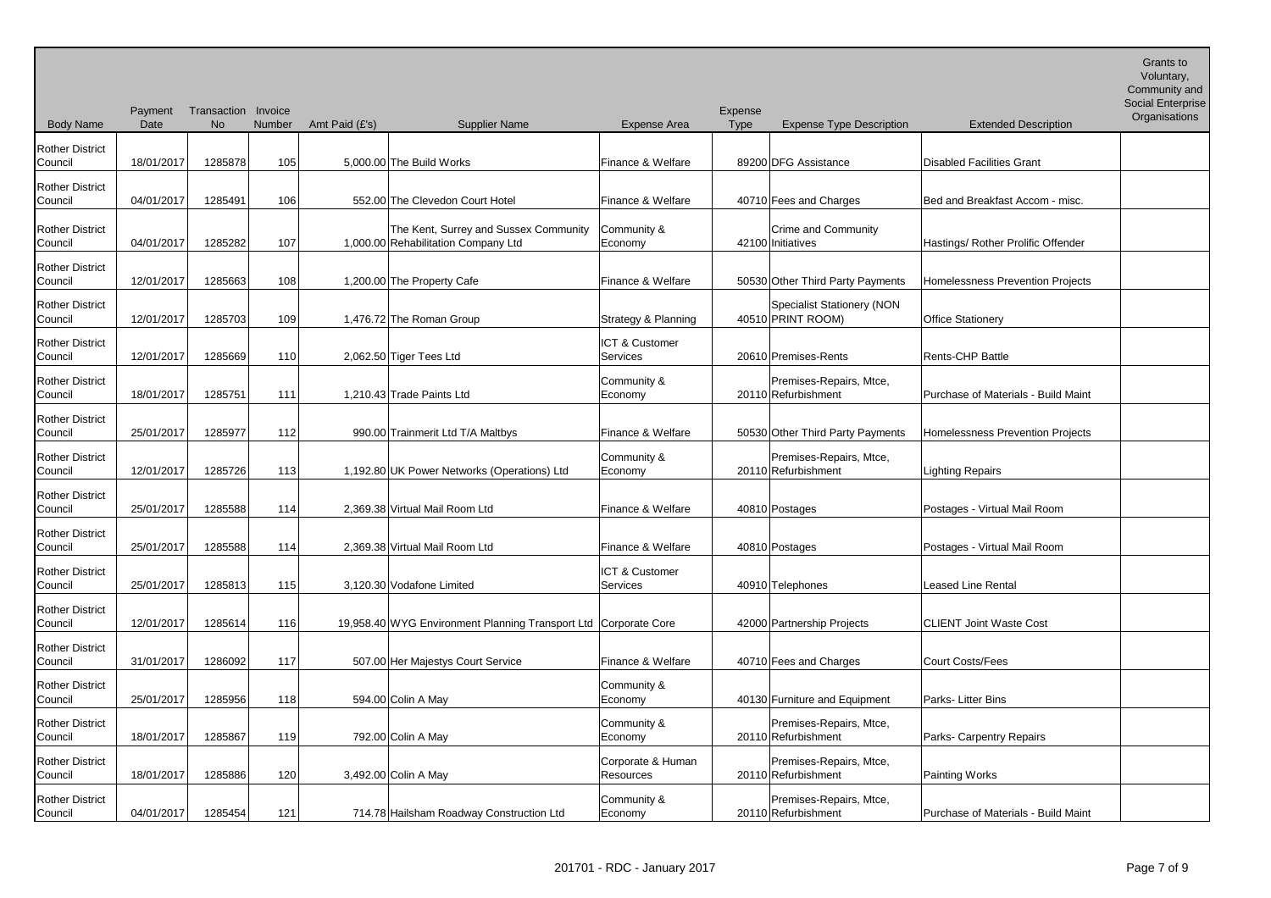| <b>Body Name</b>                  | Payment<br>Date | Transaction Invoice<br>No | Number | Amt Paid (£'s)<br><b>Supplier Name</b>                                       | <b>Expense Area</b>               | Expense<br><b>Type</b> | <b>Expense Type Description</b>                        | <b>Extended Description</b>         | Social Enterprise<br>Organisations |
|-----------------------------------|-----------------|---------------------------|--------|------------------------------------------------------------------------------|-----------------------------------|------------------------|--------------------------------------------------------|-------------------------------------|------------------------------------|
| <b>Rother District</b><br>Council | 18/01/2017      | 1285878                   | 105    | 5,000.00 The Build Works                                                     | Finance & Welfare                 |                        | 89200 DFG Assistance                                   | <b>Disabled Facilities Grant</b>    |                                    |
| <b>Rother District</b><br>Council | 04/01/2017      | 1285491                   | 106    | 552.00 The Clevedon Court Hotel                                              | Finance & Welfare                 |                        | 40710 Fees and Charges                                 | Bed and Breakfast Accom - misc.     |                                    |
| <b>Rother District</b><br>Council | 04/01/2017      | 1285282                   | 107    | The Kent, Surrey and Sussex Community<br>1,000.00 Rehabilitation Company Ltd | Community &<br>Economy            |                        | <b>Crime and Community</b><br>42100 Initiatives        | Hastings/ Rother Prolific Offender  |                                    |
| <b>Rother District</b><br>Council | 12/01/2017      | 1285663                   | 108    | 1,200.00 The Property Cafe                                                   | Finance & Welfare                 |                        | 50530 Other Third Party Payments                       | Homelessness Prevention Projects    |                                    |
| <b>Rother District</b><br>Council | 12/01/2017      | 1285703                   | 109    | 1,476.72 The Roman Group                                                     | Strategy & Planning               |                        | <b>Specialist Stationery (NON</b><br>40510 PRINT ROOM) | <b>Office Stationery</b>            |                                    |
| <b>Rother District</b><br>Council | 12/01/2017      | 1285669                   | 110    | 2,062.50 Tiger Tees Ltd                                                      | ICT & Customer<br><b>Services</b> |                        | 20610 Premises-Rents                                   | Rents-CHP Battle                    |                                    |
| <b>Rother District</b><br>Council | 18/01/2017      | 1285751                   | 111    | 1,210.43 Trade Paints Ltd                                                    | Community &<br>Economy            |                        | Premises-Repairs, Mtce,<br>20110 Refurbishment         | Purchase of Materials - Build Maint |                                    |
| <b>Rother District</b><br>Council | 25/01/2017      | 1285977                   | 112    | 990.00 Trainmerit Ltd T/A Maltbys                                            | Finance & Welfare                 |                        | 50530 Other Third Party Payments                       | Homelessness Prevention Projects    |                                    |
| <b>Rother District</b><br>Council | 12/01/2017      | 1285726                   | 113    | 1,192.80 UK Power Networks (Operations) Ltd                                  | Community &<br>Economy            |                        | Premises-Repairs, Mtce,<br>20110 Refurbishment         | <b>Lighting Repairs</b>             |                                    |
| <b>Rother District</b><br>Council | 25/01/2017      | 1285588                   | 114    | 2,369.38 Virtual Mail Room Ltd                                               | Finance & Welfare                 |                        | 40810 Postages                                         | Postages - Virtual Mail Room        |                                    |
| <b>Rother District</b><br>Council | 25/01/2017      | 1285588                   | 114    | 2,369.38 Virtual Mail Room Ltd                                               | Finance & Welfare                 |                        | 40810 Postages                                         | Postages - Virtual Mail Room        |                                    |
| <b>Rother District</b><br>Council | 25/01/2017      | 1285813                   | 115    | 3,120.30 Vodafone Limited                                                    | ICT & Customer<br>Services        |                        | 40910 Telephones                                       | <b>Leased Line Rental</b>           |                                    |
| <b>Rother District</b><br>Council | 12/01/2017      | 1285614                   | 116    | 19,958.40 WYG Environment Planning Transport Ltd Corporate Core              |                                   |                        | 42000 Partnership Projects                             | <b>CLIENT Joint Waste Cost</b>      |                                    |
| <b>Rother District</b><br>Council | 31/01/2017      | 1286092                   | 117    | 507.00 Her Majestys Court Service                                            | Finance & Welfare                 |                        | 40710 Fees and Charges                                 | Court Costs/Fees                    |                                    |
| <b>Rother District</b><br>Council | 25/01/2017      | 1285956                   | 118    | 594.00 Colin A May                                                           | Community &<br>Economy            |                        | 40130 Furniture and Equipment                          | Parks-Litter Bins                   |                                    |
| <b>Rother District</b><br>Council | 18/01/2017      | 1285867                   | 119    | 792.00 Colin A May                                                           | Community &<br>Economy            |                        | Premises-Repairs, Mtce,<br>20110 Refurbishment         | Parks- Carpentry Repairs            |                                    |
| <b>Rother District</b><br>Council | 18/01/2017      | 1285886                   | 120    | 3,492.00 Colin A May                                                         | Corporate & Human<br>Resources    |                        | Premises-Repairs, Mtce,<br>20110 Refurbishment         | Painting Works                      |                                    |
| <b>Rother District</b><br>Council | 04/01/2017      | 1285454                   | 121    | 714.78 Hailsham Roadway Construction Ltd                                     | Community &<br>Economy            |                        | Premises-Repairs, Mtce,<br>20110 Refurbishment         | Purchase of Materials - Build Maint |                                    |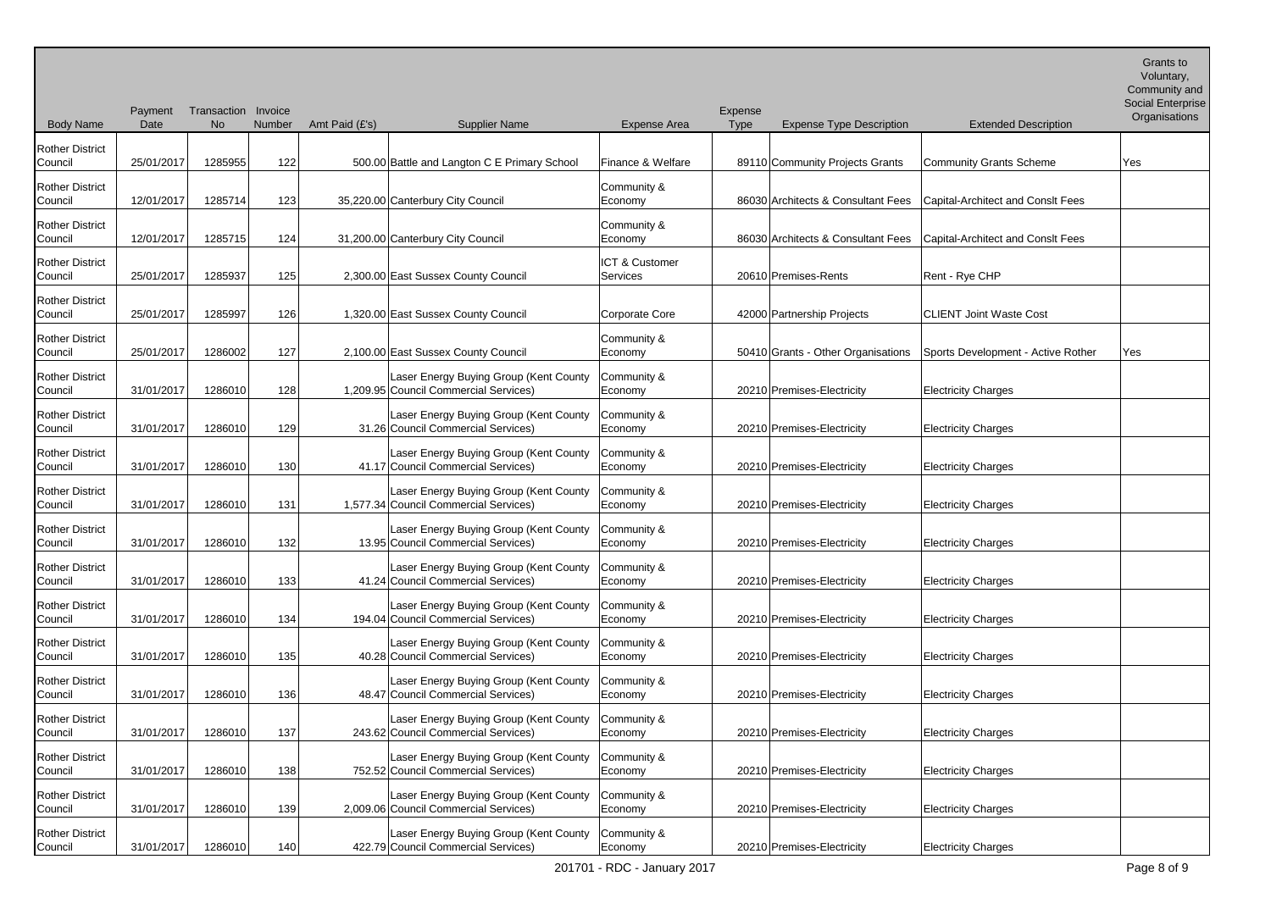| <b>Body Name</b>                  | Payment<br>Date | Transaction Invoice<br><b>No</b> | Number | Amt Paid (£'s) | <b>Supplier Name</b>                                                            | <b>Expense Area</b>        | Expense<br><b>Type</b> | <b>Expense Type Description</b>    | <b>Extended Description</b>        | Voluntary,<br>Community and<br><b>Social Enterprise</b><br>Organisations |
|-----------------------------------|-----------------|----------------------------------|--------|----------------|---------------------------------------------------------------------------------|----------------------------|------------------------|------------------------------------|------------------------------------|--------------------------------------------------------------------------|
| <b>Rother District</b><br>Council | 25/01/2017      | 1285955                          | 122    |                | 500.00 Battle and Langton C E Primary School                                    | Finance & Welfare          |                        | 89110 Community Projects Grants    | Community Grants Scheme            | Yes                                                                      |
| <b>Rother District</b><br>Council | 12/01/2017      | 1285714                          | 123    |                | 35,220.00 Canterbury City Council                                               | Community &<br>Economy     |                        | 86030 Architects & Consultant Fees | Capital-Architect and Consit Fees  |                                                                          |
| <b>Rother District</b><br>Council | 12/01/2017      | 1285715                          | 124    |                | 31,200.00 Canterbury City Council                                               | Community &<br>Economy     |                        | 86030 Architects & Consultant Fees | Capital-Architect and Consit Fees  |                                                                          |
| <b>Rother District</b><br>Council | 25/01/2017      | 1285937                          | 125    |                | 2,300.00 East Sussex County Council                                             | ICT & Customer<br>Services |                        | 20610 Premises-Rents               | Rent - Rye CHP                     |                                                                          |
| <b>Rother District</b><br>Council | 25/01/2017      | 1285997                          | 126    |                | 1,320.00 East Sussex County Council                                             | Corporate Core             |                        | 42000 Partnership Projects         | ICLIENT Joint Waste Cost           |                                                                          |
| <b>Rother District</b><br>Council | 25/01/2017      | 1286002                          | 127    |                | 2,100.00 East Sussex County Council                                             | Community &<br>Economy     |                        | 50410 Grants - Other Organisations | Sports Development - Active Rother | Yes                                                                      |
| <b>Rother District</b><br>Council | 31/01/2017      | 1286010                          | 128    |                | Laser Energy Buying Group (Kent County<br>1,209.95 Council Commercial Services) | Community &<br>Economy     |                        | 20210 Premises-Electricity         | <b>Electricity Charges</b>         |                                                                          |
| <b>Rother District</b><br>Council | 31/01/2017      | 1286010                          | 129    |                | Laser Energy Buying Group (Kent County<br>31.26 Council Commercial Services)    | Community &<br>Economy     |                        | 20210 Premises-Electricity         | <b>Electricity Charges</b>         |                                                                          |
| <b>Rother District</b><br>Council | 31/01/2017      | 1286010                          | 130    |                | Laser Energy Buying Group (Kent County<br>41.17 Council Commercial Services)    | Community &<br>Economy     |                        | 20210 Premises-Electricity         | <b>Electricity Charges</b>         |                                                                          |
| <b>Rother District</b><br>Council | 31/01/2017      | 1286010                          | 131    |                | Laser Energy Buying Group (Kent County<br>1,577.34 Council Commercial Services) | Community &<br>Economy     |                        | 20210 Premises-Electricity         | <b>Electricity Charges</b>         |                                                                          |
| <b>Rother District</b><br>Council | 31/01/2017      | 1286010                          | 132    |                | Laser Energy Buying Group (Kent County<br>13.95 Council Commercial Services)    | Community &<br>Economy     |                        | 20210 Premises-Electricity         | <b>Electricity Charges</b>         |                                                                          |
| <b>Rother District</b><br>Council | 31/01/2017      | 1286010                          | 133    |                | Laser Energy Buying Group (Kent County<br>41.24 Council Commercial Services)    | Community &<br>Economy     |                        | 20210 Premises-Electricity         | <b>Electricity Charges</b>         |                                                                          |
| <b>Rother District</b><br>Council | 31/01/2017      | 1286010                          | 134    |                | Laser Energy Buying Group (Kent County<br>194.04 Council Commercial Services)   | Community &<br>Economy     |                        | 20210 Premises-Electricity         | <b>Electricity Charges</b>         |                                                                          |
| <b>Rother District</b><br>Council | 31/01/2017      | 1286010                          | 135    |                | Laser Energy Buying Group (Kent County<br>40.28 Council Commercial Services)    | Community &<br>Economy     |                        | 20210 Premises-Electricity         | <b>Electricity Charges</b>         |                                                                          |
| <b>Rother District</b><br>Council | 31/01/2017      | 1286010                          | 136    |                | Laser Energy Buying Group (Kent County<br>48.47 Council Commercial Services)    | Community &<br>Economy     |                        | 20210 Premises-Electricity         | <b>Electricity Charges</b>         |                                                                          |
| <b>Rother District</b><br>Council | 31/01/2017      | 1286010                          | 137    |                | Laser Energy Buying Group (Kent County<br>243.62 Council Commercial Services)   | Community &<br>Economy     |                        | 20210 Premises-Electricity         | <b>Electricity Charges</b>         |                                                                          |
| <b>Rother District</b><br>Council | 31/01/2017      | 1286010                          | 138    |                | Laser Energy Buying Group (Kent County<br>752.52 Council Commercial Services)   | Community &<br>Economy     |                        | 20210 Premises-Electricity         | <b>Electricity Charges</b>         |                                                                          |
| <b>Rother District</b><br>Council | 31/01/2017      | 1286010                          | 139    |                | Laser Energy Buying Group (Kent County<br>2,009.06 Council Commercial Services) | Community &<br>Economy     |                        | 20210 Premises-Electricity         | <b>Electricity Charges</b>         |                                                                          |
| <b>Rother District</b><br>Council | 31/01/2017      | 1286010                          | 140    |                | Laser Energy Buying Group (Kent County<br>422.79 Council Commercial Services)   | Community &<br>Economy     |                        | 20210 Premises-Electricity         | <b>Electricity Charges</b>         |                                                                          |